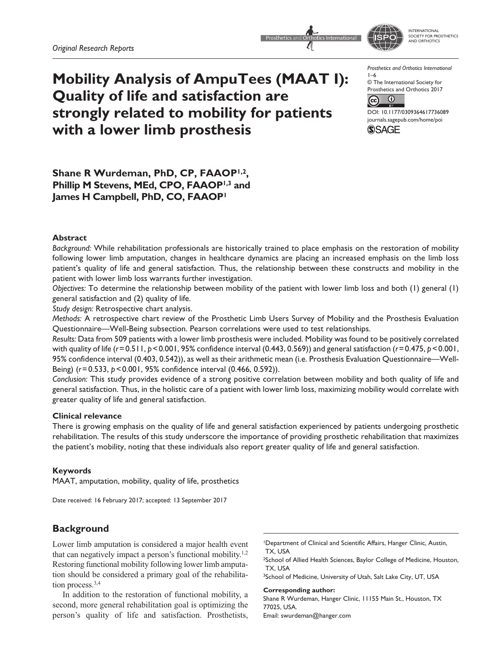

INTERNATIONAL SOCIETY FOR PROSTHETICS AND ORTHOTICS

*Prosthetics and Orthotics International* 1–6

© The International Society for Prosthetics and Orthotics 2017



DOI: 10.1177/0309364617736089 [journals.sagepub.com/home/poi](https://journals.sagepub.com/home/poi) **SSAGE** 

**Shane R Wurdeman, PhD, CP, FAAOP1,2, Phillip M Stevens, MEd, CPO, FAAOP1,3 and James H Campbell, PhD, CO, FAAOP1**

**with a lower limb prosthesis**

**Mobility Analysis of AmpuTees (MAAT I):** 

**strongly related to mobility for patients** 

**Quality of life and satisfaction are** 

# **Abstract**

*Background:* While rehabilitation professionals are historically trained to place emphasis on the restoration of mobility following lower limb amputation, changes in healthcare dynamics are placing an increased emphasis on the limb loss patient's quality of life and general satisfaction. Thus, the relationship between these constructs and mobility in the patient with lower limb loss warrants further investigation.

*Objectives:* To determine the relationship between mobility of the patient with lower limb loss and both (1) general (1) general satisfaction and (2) quality of life.

*Study design:* Retrospective chart analysis.

*Methods:* A retrospective chart review of the Prosthetic Limb Users Survey of Mobility and the Prosthesis Evaluation Questionnaire—Well-Being subsection. Pearson correlations were used to test relationships.

*Results:* Data from 509 patients with a lower limb prosthesis were included. Mobility was found to be positively correlated with quality of life (*r*=0.511, *p*<0.001, 95% confidence interval (0.443, 0.569)) and general satisfaction (*r*=0.475, *p*<0.001, 95% confidence interval (0.403, 0.542)), as well as their arithmetic mean (i.e. Prosthesis Evaluation Questionnaire—Well-Being) (*r*=0.533, *p*<0.001, 95% confidence interval (0.466, 0.592)).

*Conclusion:* This study provides evidence of a strong positive correlation between mobility and both quality of life and general satisfaction. Thus, in the holistic care of a patient with lower limb loss, maximizing mobility would correlate with greater quality of life and general satisfaction.

### **Clinical relevance**

There is growing emphasis on the quality of life and general satisfaction experienced by patients undergoing prosthetic rehabilitation. The results of this study underscore the importance of providing prosthetic rehabilitation that maximizes the patient's mobility, noting that these individuals also report greater quality of life and general satisfaction.

### **Keywords**

MAAT, amputation, mobility, quality of life, prosthetics

Date received: 16 February 2017; accepted: 13 September 2017

# **Background**

Lower limb amputation is considered a major health event that can negatively impact a person's functional mobility.1,2 Restoring functional mobility following lower limb amputation should be considered a primary goal of the rehabilitation process.<sup>3,4</sup>

In addition to the restoration of functional mobility, a second, more general rehabilitation goal is optimizing the person's quality of life and satisfaction. Prosthetists, 1Department of Clinical and Scientific Affairs, Hanger Clinic, Austin, TX, USA

2School of Allied Health Sciences, Baylor College of Medicine, Houston, TX, USA

<sup>3</sup>School of Medicine, University of Utah, Salt Lake City, UT, USA

#### **Corresponding author:**

Shane R Wurdeman, Hanger Clinic, 11155 Main St., Houston, TX 77025, USA.

Email: [swurdeman@hanger.com](mailto:swurdeman@hanger.com)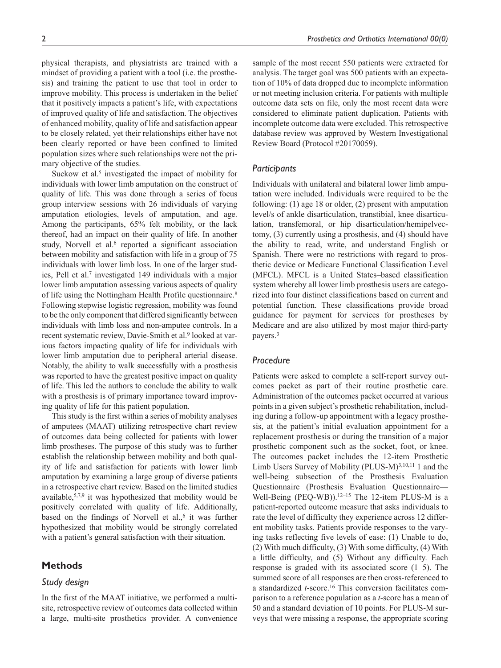physical therapists, and physiatrists are trained with a mindset of providing a patient with a tool (i.e. the prosthesis) and training the patient to use that tool in order to improve mobility. This process is undertaken in the belief that it positively impacts a patient's life, with expectations of improved quality of life and satisfaction. The objectives of enhanced mobility, quality of life and satisfaction appear to be closely related, yet their relationships either have not been clearly reported or have been confined to limited population sizes where such relationships were not the primary objective of the studies.

Suckow et al.<sup>5</sup> investigated the impact of mobility for individuals with lower limb amputation on the construct of quality of life. This was done through a series of focus group interview sessions with 26 individuals of varying amputation etiologies, levels of amputation, and age. Among the participants, 65% felt mobility, or the lack thereof, had an impact on their quality of life. In another study, Norvell et al.<sup>6</sup> reported a significant association between mobility and satisfaction with life in a group of 75 individuals with lower limb loss. In one of the larger studies, Pell et al.7 investigated 149 individuals with a major lower limb amputation assessing various aspects of quality of life using the Nottingham Health Profile questionnaire.<sup>8</sup> Following stepwise logistic regression, mobility was found to be the only component that differed significantly between individuals with limb loss and non-amputee controls. In a recent systematic review, Davie-Smith et al.<sup>9</sup> looked at various factors impacting quality of life for individuals with lower limb amputation due to peripheral arterial disease. Notably, the ability to walk successfully with a prosthesis was reported to have the greatest positive impact on quality of life. This led the authors to conclude the ability to walk with a prosthesis is of primary importance toward improving quality of life for this patient population.

This study is the first within a series of mobility analyses of amputees (MAAT) utilizing retrospective chart review of outcomes data being collected for patients with lower limb prostheses. The purpose of this study was to further establish the relationship between mobility and both quality of life and satisfaction for patients with lower limb amputation by examining a large group of diverse patients in a retrospective chart review. Based on the limited studies available,5,7,9 it was hypothesized that mobility would be positively correlated with quality of life. Additionally, based on the findings of Norvell et al., $6$  it was further hypothesized that mobility would be strongly correlated with a patient's general satisfaction with their situation.

### **Methods**

#### *Study design*

In the first of the MAAT initiative, we performed a multisite, retrospective review of outcomes data collected within a large, multi-site prosthetics provider. A convenience sample of the most recent 550 patients were extracted for analysis. The target goal was 500 patients with an expectation of 10% of data dropped due to incomplete information or not meeting inclusion criteria. For patients with multiple outcome data sets on file, only the most recent data were considered to eliminate patient duplication. Patients with incomplete outcome data were excluded. This retrospective database review was approved by Western Investigational Review Board (Protocol #20170059).

#### *Participants*

Individuals with unilateral and bilateral lower limb amputation were included. Individuals were required to be the following: (1) age 18 or older, (2) present with amputation level/s of ankle disarticulation, transtibial, knee disarticulation, transfemoral, or hip disarticulation/hemipelvectomy, (3) currently using a prosthesis, and (4) should have the ability to read, write, and understand English or Spanish. There were no restrictions with regard to prosthetic device or Medicare Functional Classification Level (MFCL). MFCL is a United States–based classification system whereby all lower limb prosthesis users are categorized into four distinct classifications based on current and potential function. These classifications provide broad guidance for payment for services for prostheses by Medicare and are also utilized by most major third-party payers.3

# *Procedure*

Patients were asked to complete a self-report survey outcomes packet as part of their routine prosthetic care. Administration of the outcomes packet occurred at various points in a given subject's prosthetic rehabilitation, including during a follow-up appointment with a legacy prosthesis, at the patient's initial evaluation appointment for a replacement prosthesis or during the transition of a major prosthetic component such as the socket, foot, or knee. The outcomes packet includes the 12-item Prosthetic Limb Users Survey of Mobility (PLUS-M)3,10,11 1 and the well-being subsection of the Prosthesis Evaluation Questionnaire (Prosthesis Evaluation Questionnaire— Well-Being (PEQ-WB)).<sup>12–15</sup> The 12-item PLUS-M is a patient-reported outcome measure that asks individuals to rate the level of difficulty they experience across 12 different mobility tasks. Patients provide responses to the varying tasks reflecting five levels of ease: (1) Unable to do, (2) With much difficulty, (3) With some difficulty, (4) With a little difficulty, and (5) Without any difficulty. Each response is graded with its associated score  $(1-5)$ . The summed score of all responses are then cross-referenced to a standardized *t*-score.16 This conversion facilitates comparison to a reference population as a *t*-score has a mean of 50 and a standard deviation of 10 points. For PLUS-M surveys that were missing a response, the appropriate scoring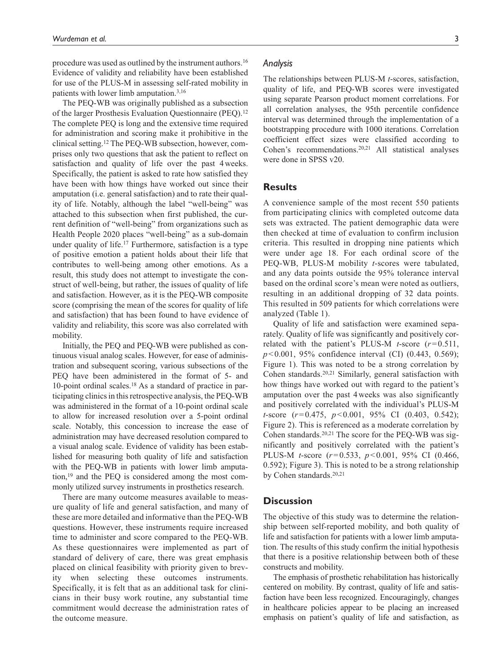procedure was used as outlined by the instrument authors.16 Evidence of validity and reliability have been established for use of the PLUS-M in assessing self-rated mobility in patients with lower limb amputation.3,16

The PEQ-WB was originally published as a subsection of the larger Prosthesis Evaluation Questionnaire (PEQ).12 The complete PEQ is long and the extensive time required for administration and scoring make it prohibitive in the clinical setting.12 The PEQ-WB subsection, however, comprises only two questions that ask the patient to reflect on satisfaction and quality of life over the past 4weeks. Specifically, the patient is asked to rate how satisfied they have been with how things have worked out since their amputation (i.e. general satisfaction) and to rate their quality of life. Notably, although the label "well-being" was attached to this subsection when first published, the current definition of "well-being" from organizations such as Health People 2020 places "well-being" as a sub-domain under quality of life.<sup>17</sup> Furthermore, satisfaction is a type of positive emotion a patient holds about their life that contributes to well-being among other emotions. As a result, this study does not attempt to investigate the construct of well-being, but rather, the issues of quality of life and satisfaction. However, as it is the PEQ-WB composite score (comprising the mean of the scores for quality of life and satisfaction) that has been found to have evidence of validity and reliability, this score was also correlated with mobility.

Initially, the PEQ and PEQ-WB were published as continuous visual analog scales. However, for ease of administration and subsequent scoring, various subsections of the PEQ have been administered in the format of 5- and 10-point ordinal scales.18 As a standard of practice in participating clinics in this retrospective analysis, the PEQ-WB was administered in the format of a 10-point ordinal scale to allow for increased resolution over a 5-point ordinal scale. Notably, this concession to increase the ease of administration may have decreased resolution compared to a visual analog scale. Evidence of validity has been established for measuring both quality of life and satisfaction with the PEQ-WB in patients with lower limb amputation,19 and the PEQ is considered among the most commonly utilized survey instruments in prosthetics research.

There are many outcome measures available to measure quality of life and general satisfaction, and many of these are more detailed and informative than the PEQ-WB questions. However, these instruments require increased time to administer and score compared to the PEQ-WB. As these questionnaires were implemented as part of standard of delivery of care, there was great emphasis placed on clinical feasibility with priority given to brevity when selecting these outcomes instruments. Specifically, it is felt that as an additional task for clinicians in their busy work routine, any substantial time commitment would decrease the administration rates of the outcome measure.

### *Analysis*

The relationships between PLUS-M *t*-scores, satisfaction, quality of life, and PEQ-WB scores were investigated using separate Pearson product moment correlations. For all correlation analyses, the 95th percentile confidence interval was determined through the implementation of a bootstrapping procedure with 1000 iterations. Correlation coefficient effect sizes were classified according to Cohen's recommendations.20,21 All statistical analyses were done in SPSS v20.

# **Results**

A convenience sample of the most recent 550 patients from participating clinics with completed outcome data sets was extracted. The patient demographic data were then checked at time of evaluation to confirm inclusion criteria. This resulted in dropping nine patients which were under age 18. For each ordinal score of the PEQ-WB, PLUS-M mobility *t*-scores were tabulated, and any data points outside the 95% tolerance interval based on the ordinal score's mean were noted as outliers, resulting in an additional dropping of 32 data points. This resulted in 509 patients for which correlations were analyzed (Table 1).

Quality of life and satisfaction were examined separately. Quality of life was significantly and positively correlated with the patient's PLUS-M *t*-score (*r*=0.511, *p*<0.001, 95% confidence interval (CI) (0.443, 0.569); Figure 1). This was noted to be a strong correlation by Cohen standards.20,21 Similarly, general satisfaction with how things have worked out with regard to the patient's amputation over the past 4weeks was also significantly and positively correlated with the individual's PLUS-M *t*-score (*r*=0.475, *p*<0.001, 95% CI (0.403, 0.542); Figure 2). This is referenced as a moderate correlation by Cohen standards.20,21 The score for the PEQ-WB was significantly and positively correlated with the patient's PLUS-M *t*-score (*r*=0.533, *p*<0.001, 95% CI (0.466, 0.592); Figure 3). This is noted to be a strong relationship by Cohen standards.<sup>20,21</sup>

### **Discussion**

The objective of this study was to determine the relationship between self-reported mobility, and both quality of life and satisfaction for patients with a lower limb amputation. The results of this study confirm the initial hypothesis that there is a positive relationship between both of these constructs and mobility.

The emphasis of prosthetic rehabilitation has historically centered on mobility. By contrast, quality of life and satisfaction have been less recognized. Encouragingly, changes in healthcare policies appear to be placing an increased emphasis on patient's quality of life and satisfaction, as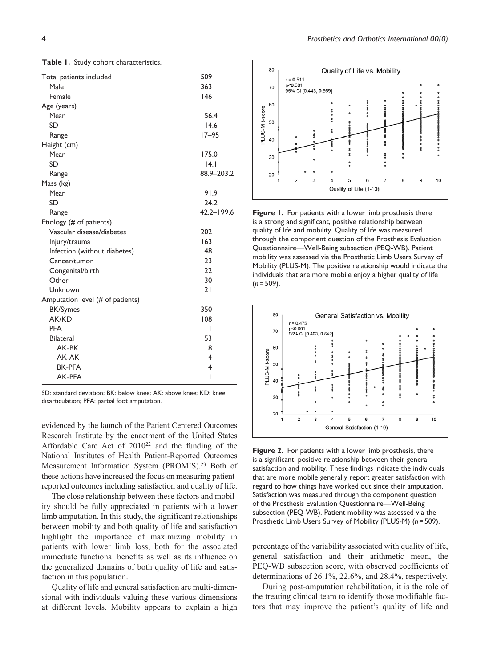| Total patients included          | 509                     |
|----------------------------------|-------------------------|
| Male                             | 363                     |
| Female                           | 146                     |
| Age (years)                      |                         |
| Mean                             | 56.4                    |
| <b>SD</b>                        | 14.6                    |
| Range                            | $17 - 95$               |
| Height (cm)                      |                         |
| Mean                             | 175.0                   |
| <b>SD</b>                        | 4.1                     |
| Range                            | 88.9-203.2              |
| Mass (kg)                        |                         |
| Mean                             | 91.9                    |
| <b>SD</b>                        | 24.2                    |
| Range                            | $42.2 - 199.6$          |
| Etiology (# of patients)         |                         |
| Vascular disease/diabetes        | 202                     |
| Injury/trauma                    | 163                     |
| Infection (without diabetes)     | 48                      |
| Cancer/tumor                     | 23                      |
| Congenital/birth                 | 22                      |
| Other                            | 30                      |
| Unknown                          | 21                      |
| Amputation level (# of patients) |                         |
| <b>BK/Symes</b>                  | 350                     |
| AK/KD                            | 108                     |
| <b>PFA</b>                       | ı                       |
| <b>Bilateral</b>                 | 53                      |
| AK-BK                            | 8                       |
| AK-AK                            | $\overline{\mathbf{4}}$ |
| <b>BK-PFA</b>                    | $\overline{\mathbf{4}}$ |
| AK-PFA                           | ı                       |

**Table 1.** Study cohort characteristics.

SD: standard deviation; BK: below knee; AK: above knee; KD: knee disarticulation; PFA: partial foot amputation.

evidenced by the launch of the Patient Centered Outcomes Research Institute by the enactment of the United States Affordable Care Act of 201022 and the funding of the National Institutes of Health Patient-Reported Outcomes Measurement Information System (PROMIS).23 Both of these actions have increased the focus on measuring patientreported outcomes including satisfaction and quality of life.

The close relationship between these factors and mobility should be fully appreciated in patients with a lower limb amputation. In this study, the significant relationships between mobility and both quality of life and satisfaction highlight the importance of maximizing mobility in patients with lower limb loss, both for the associated immediate functional benefits as well as its influence on the generalized domains of both quality of life and satisfaction in this population.

Quality of life and general satisfaction are multi-dimensional with individuals valuing these various dimensions at different levels. Mobility appears to explain a high



**Figure 1.** For patients with a lower limb prosthesis there is a strong and significant, positive relationship between quality of life and mobility. Quality of life was measured through the component question of the Prosthesis Evaluation Questionnaire—Well-Being subsection (PEQ-WB). Patient mobility was assessed via the Prosthetic Limb Users Survey of Mobility (PLUS-M). The positive relationship would indicate the individuals that are more mobile enjoy a higher quality of life (*n*=509).



**Figure 2.** For patients with a lower limb prosthesis, there is a significant, positive relationship between their general satisfaction and mobility. These findings indicate the individuals that are more mobile generally report greater satisfaction with regard to how things have worked out since their amputation. Satisfaction was measured through the component question of the Prosthesis Evaluation Questionnaire—Well-Being subsection (PEQ-WB). Patient mobility was assessed via the Prosthetic Limb Users Survey of Mobility (PLUS-M) (*n*=509).

percentage of the variability associated with quality of life, general satisfaction and their arithmetic mean, the PEQ-WB subsection score, with observed coefficients of determinations of 26.1%, 22.6%, and 28.4%, respectively.

During post-amputation rehabilitation, it is the role of the treating clinical team to identify those modifiable factors that may improve the patient's quality of life and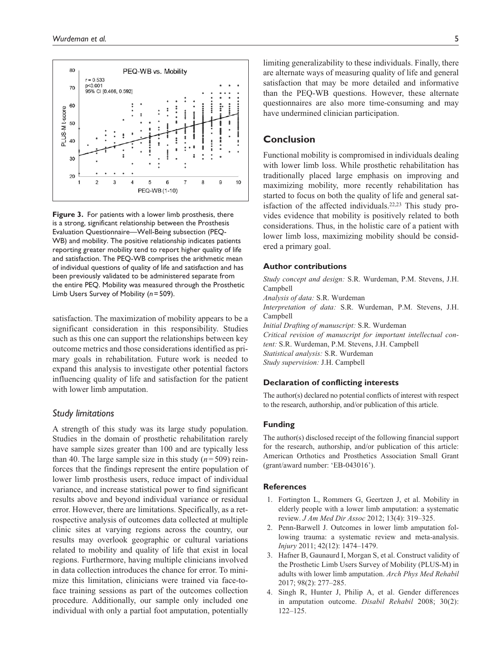

**Figure 3.** For patients with a lower limb prosthesis, there is a strong, significant relationship between the Prosthesis Evaluation Questionnaire—Well-Being subsection (PEQ-WB) and mobility. The positive relationship indicates patients reporting greater mobility tend to report higher quality of life and satisfaction. The PEQ-WB comprises the arithmetic mean of individual questions of quality of life and satisfaction and has been previously validated to be administered separate from the entire PEQ. Mobility was measured through the Prosthetic Limb Users Survey of Mobility (*n*=509).

satisfaction. The maximization of mobility appears to be a significant consideration in this responsibility. Studies such as this one can support the relationships between key outcome metrics and those considerations identified as primary goals in rehabilitation. Future work is needed to expand this analysis to investigate other potential factors influencing quality of life and satisfaction for the patient with lower limb amputation.

### *Study limitations*

A strength of this study was its large study population. Studies in the domain of prosthetic rehabilitation rarely have sample sizes greater than 100 and are typically less than 40. The large sample size in this study  $(n=509)$  reinforces that the findings represent the entire population of lower limb prosthesis users, reduce impact of individual variance, and increase statistical power to find significant results above and beyond individual variance or residual error. However, there are limitations. Specifically, as a retrospective analysis of outcomes data collected at multiple clinic sites at varying regions across the country, our results may overlook geographic or cultural variations related to mobility and quality of life that exist in local regions. Furthermore, having multiple clinicians involved in data collection introduces the chance for error. To minimize this limitation, clinicians were trained via face-toface training sessions as part of the outcomes collection procedure. Additionally, our sample only included one individual with only a partial foot amputation, potentially limiting generalizability to these individuals. Finally, there are alternate ways of measuring quality of life and general satisfaction that may be more detailed and informative than the PEQ-WB questions. However, these alternate questionnaires are also more time-consuming and may have undermined clinician participation.

# **Conclusion**

Functional mobility is compromised in individuals dealing with lower limb loss. While prosthetic rehabilitation has traditionally placed large emphasis on improving and maximizing mobility, more recently rehabilitation has started to focus on both the quality of life and general satisfaction of the affected individuals.22,23 This study provides evidence that mobility is positively related to both considerations. Thus, in the holistic care of a patient with lower limb loss, maximizing mobility should be considered a primary goal.

#### **Author contributions**

*Study concept and design:* S.R. Wurdeman, P.M. Stevens, J.H. Campbell *Analysis of data:* S.R. Wurdeman *Interpretation of data:* S.R. Wurdeman, P.M. Stevens, J.H. Campbell *Initial Drafting of manuscript:* S.R. Wurdeman *Critical revision of manuscript for important intellectual content:* S.R. Wurdeman, P.M. Stevens, J.H. Campbell *Statistical analysis:* S.R. Wurdeman *Study supervision:* J.H. Campbell

#### **Declaration of conflicting interests**

The author(s) declared no potential conflicts of interest with respect to the research, authorship, and/or publication of this article.

# **Funding**

The author(s) disclosed receipt of the following financial support for the research, authorship, and/or publication of this article: American Orthotics and Prosthetics Association Small Grant (grant/award number: 'EB-043016').

#### **References**

- 1. Fortington L, Rommers G, Geertzen J, et al. Mobility in elderly people with a lower limb amputation: a systematic review. *J Am Med Dir Assoc* 2012; 13(4): 319–325.
- 2. Penn-Barwell J. Outcomes in lower limb amputation following trauma: a systematic review and meta-analysis. *Injury* 2011; 42(12): 1474–1479.
- 3. Hafner B, Gaunaurd I, Morgan S, et al. Construct validity of the Prosthetic Limb Users Survey of Mobility (PLUS-M) in adults with lower limb amputation. *Arch Phys Med Rehabil* 2017; 98(2): 277–285.
- 4. Singh R, Hunter J, Philip A, et al. Gender differences in amputation outcome. *Disabil Rehabil* 2008; 30(2): 122–125.